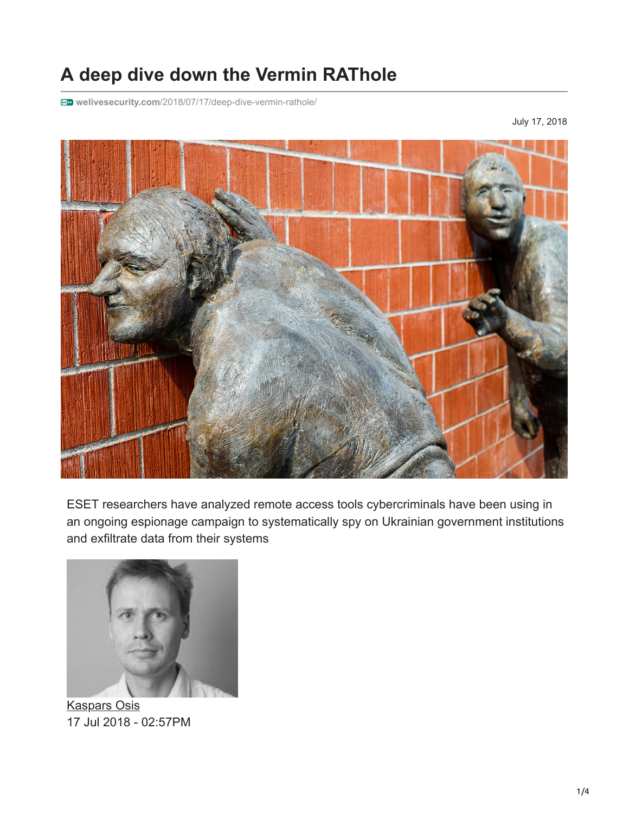## **A deep dive down the Vermin RAThole**

**welivesecurity.com**[/2018/07/17/deep-dive-vermin-rathole/](https://www.welivesecurity.com/2018/07/17/deep-dive-vermin-rathole/)

July 17, 2018



ESET researchers have analyzed remote access tools cybercriminals have been using in an ongoing espionage campaign to systematically spy on Ukrainian government institutions and exfiltrate data from their systems



[Kaspars Osis](https://www.welivesecurity.com/author/kosis/) 17 Jul 2018 - 02:57PM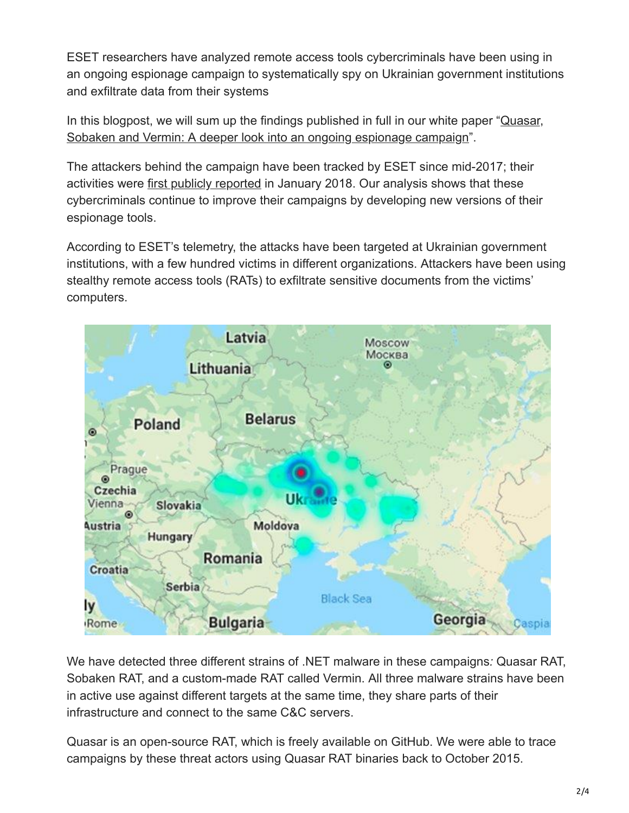ESET researchers have analyzed remote access tools cybercriminals have been using in an ongoing espionage campaign to systematically spy on Ukrainian government institutions and exfiltrate data from their systems

[In this blogpost, we will sum up the findings published in full in our white paper "Quasar,](https://www.welivesecurity.com/wp-content/uploads/2018/07/ESET_Quasar_Sobaken_Vermin.pdf) Sobaken and Vermin: A deeper look into an ongoing espionage campaign".

The attackers behind the campaign have been tracked by ESET since mid-2017; their activities were [first publicly reported](https://researchcenter.paloaltonetworks.com/2018/01/unit42-vermin-quasar-rat-custom-malware-used-ukraine/) in January 2018. Our analysis shows that these cybercriminals continue to improve their campaigns by developing new versions of their espionage tools.

According to ESET's telemetry, the attacks have been targeted at Ukrainian government institutions, with a few hundred victims in different organizations. Attackers have been using stealthy remote access tools (RATs) to exfiltrate sensitive documents from the victims' computers.



We have detected three different strains of .NET malware in these campaigns*:* Quasar RAT, Sobaken RAT, and a custom-made RAT called Vermin. All three malware strains have been in active use against different targets at the same time, they share parts of their infrastructure and connect to the same C&C servers.

Quasar is an open-source RAT, which is freely available on GitHub. We were able to trace campaigns by these threat actors using Quasar RAT binaries back to October 2015.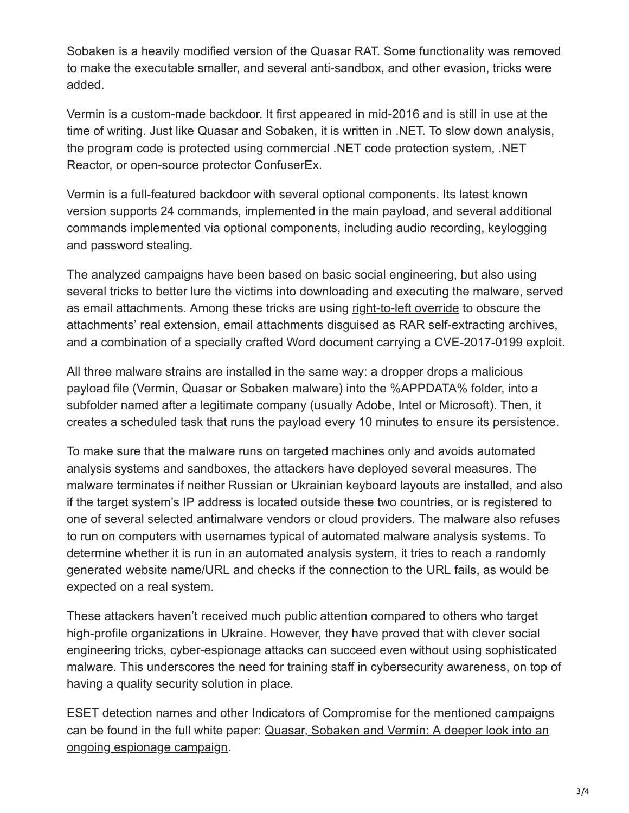Sobaken is a heavily modified version of the Quasar RAT. Some functionality was removed to make the executable smaller, and several anti-sandbox, and other evasion, tricks were added.

Vermin is a custom-made backdoor. It first appeared in mid-2016 and is still in use at the time of writing. Just like Quasar and Sobaken, it is written in .NET. To slow down analysis, the program code is protected using commercial .NET code protection system, .NET Reactor, or open-source protector ConfuserEx.

Vermin is a full-featured backdoor with several optional components. Its latest known version supports 24 commands, implemented in the main payload, and several additional commands implemented via optional components, including audio recording, keylogging and password stealing.

The analyzed campaigns have been based on basic social engineering, but also using several tricks to better lure the victims into downloading and executing the malware, served as email attachments. Among these tricks are using [right-to-left override](https://redcanary.com/blog/right-to-left-override/) to obscure the attachments' real extension, email attachments disguised as RAR self-extracting archives, and a combination of a specially crafted Word document carrying a CVE-2017-0199 exploit.

All three malware strains are installed in the same way: a dropper drops a malicious payload file (Vermin, Quasar or Sobaken malware) into the %APPDATA% folder, into a subfolder named after a legitimate company (usually Adobe, Intel or Microsoft). Then, it creates a scheduled task that runs the payload every 10 minutes to ensure its persistence.

To make sure that the malware runs on targeted machines only and avoids automated analysis systems and sandboxes, the attackers have deployed several measures. The malware terminates if neither Russian or Ukrainian keyboard layouts are installed, and also if the target system's IP address is located outside these two countries, or is registered to one of several selected antimalware vendors or cloud providers. The malware also refuses to run on computers with usernames typical of automated malware analysis systems. To determine whether it is run in an automated analysis system, it tries to reach a randomly generated website name/URL and checks if the connection to the URL fails, as would be expected on a real system.

These attackers haven't received much public attention compared to others who target high-profile organizations in Ukraine. However, they have proved that with clever social engineering tricks, cyber-espionage attacks can succeed even without using sophisticated malware. This underscores the need for training staff in cybersecurity awareness, on top of having a quality security solution in place.

ESET detection names and other Indicators of Compromise for the mentioned campaigns [can be found in the full white paper: Quasar, Sobaken and Vermin: A deeper look into an](https://www.welivesecurity.com/wp-content/uploads/2018/07/ESET_Quasar_Sobaken_Vermin.pdf) ongoing espionage campaign.